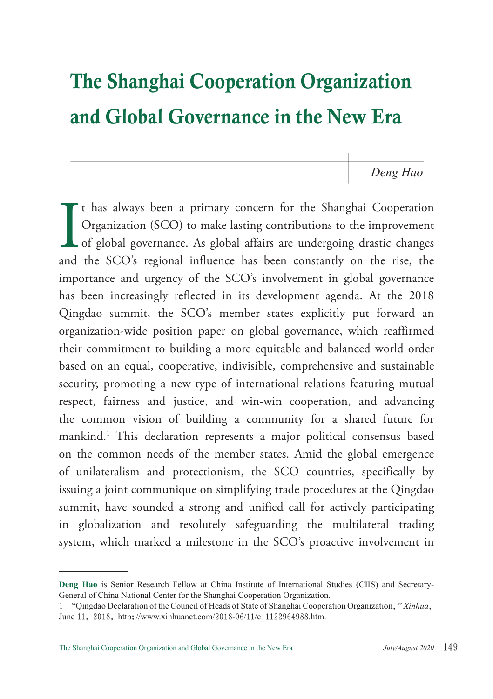# The Shanghai Cooperation Organization and Global Governance in the New Era

*Deng Hao*

I<br>and t has always been a primary concern for the Shanghai Cooperation Organization (SCO) to make lasting contributions to the improvement **L** of global governance. As global affairs are undergoing drastic changes and the SCO's regional influence has been constantly on the rise, the importance and urgency of the SCO's involvement in global governance has been increasingly reflected in its development agenda. At the 2018 Qingdao summit, the SCO's member states explicitly put forward an organization-wide position paper on global governance, which reaffirmed their commitment to building a more equitable and balanced world order based on an equal, cooperative, indivisible, comprehensive and sustainable security, promoting a new type of international relations featuring mutual respect, fairness and justice, and win-win cooperation, and advancing the common vision of building a community for a shared future for mankind.1 This declaration represents a major political consensus based on the common needs of the member states. Amid the global emergence of unilateralism and protectionism, the SCO countries, specifically by issuing a joint communique on simplifying trade procedures at the Qingdao summit, have sounded a strong and unified call for actively participating in globalization and resolutely safeguarding the multilateral trading system, which marked a milestone in the SCO's proactive involvement in

**Deng Hao** is Senior Research Fellow at China Institute of International Studies (CIIS) and Secretary-General of China National Center for the Shanghai Cooperation Organization.

<sup>1</sup> "Qingdao Declaration of the Council of Heads of State of Shanghai Cooperation Organization," *Xinhua*, June 11, 2018, http://www.xinhuanet.com/2018-06/11/c\_1122964988.htm.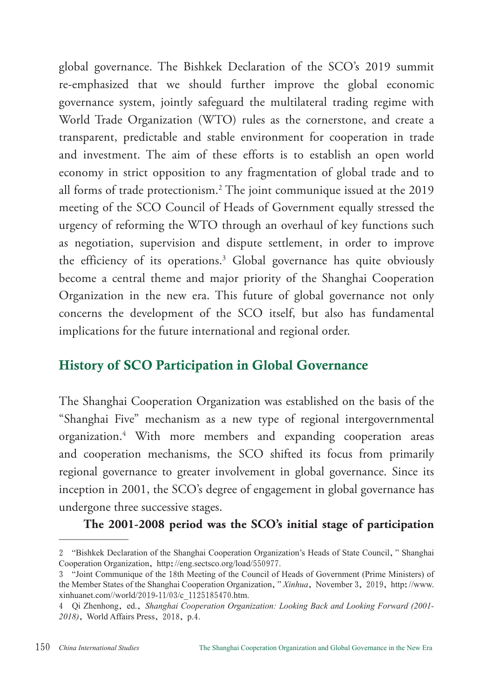global governance. The Bishkek Declaration of the SCO's 2019 summit re-emphasized that we should further improve the global economic governance system, jointly safeguard the multilateral trading regime with World Trade Organization (WTO) rules as the cornerstone, and create a transparent, predictable and stable environment for cooperation in trade and investment. The aim of these efforts is to establish an open world economy in strict opposition to any fragmentation of global trade and to all forms of trade protectionism.2 The joint communique issued at the 2019 meeting of the SCO Council of Heads of Government equally stressed the urgency of reforming the WTO through an overhaul of key functions such as negotiation, supervision and dispute settlement, in order to improve the efficiency of its operations.3 Global governance has quite obviously become a central theme and major priority of the Shanghai Cooperation Organization in the new era. This future of global governance not only concerns the development of the SCO itself, but also has fundamental implications for the future international and regional order.

## History of SCO Participation in Global Governance

The Shanghai Cooperation Organization was established on the basis of the "Shanghai Five" mechanism as a new type of regional intergovernmental organization.4 With more members and expanding cooperation areas and cooperation mechanisms, the SCO shifted its focus from primarily regional governance to greater involvement in global governance. Since its inception in 2001, the SCO's degree of engagement in global governance has undergone three successive stages.

**The 2001-2008 period was the SCO's initial stage of participation** 

<sup>2</sup> "Bishkek Declaration of the Shanghai Cooperation Organization's Heads of State Council," Shanghai Cooperation Organization, http://eng.sectsco.org/load/550977.

<sup>3</sup> "Joint Communique of the 18th Meeting of the Council of Heads of Government (Prime Ministers) of the Member States of the Shanghai Cooperation Organization," *Xinhua*, November 3, 2019, http://www. xinhuanet.com//world/2019-11/03/c\_1125185470.htm.

<sup>4</sup> Qi Zhenhong, ed., *Shanghai Cooperation Organization: Looking Back and Looking Forward (2001- 2018)*, World Affairs Press, 2018, p.4.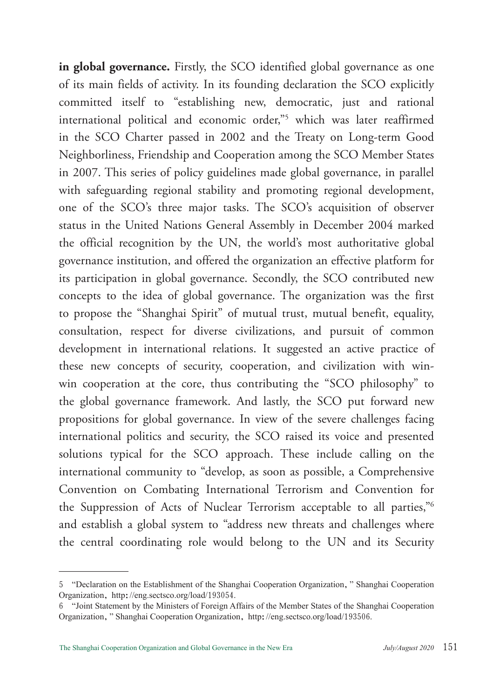**in global governance.** Firstly, the SCO identified global governance as one of its main fields of activity. In its founding declaration the SCO explicitly committed itself to "establishing new, democratic, just and rational international political and economic order,"5 which was later reaffirmed in the SCO Charter passed in 2002 and the Treaty on Long-term Good Neighborliness, Friendship and Cooperation among the SCO Member States in 2007. This series of policy guidelines made global governance, in parallel with safeguarding regional stability and promoting regional development, one of the SCO's three major tasks. The SCO's acquisition of observer status in the United Nations General Assembly in December 2004 marked the official recognition by the UN, the world's most authoritative global governance institution, and offered the organization an effective platform for its participation in global governance. Secondly, the SCO contributed new concepts to the idea of global governance. The organization was the first to propose the "Shanghai Spirit" of mutual trust, mutual benefit, equality, consultation, respect for diverse civilizations, and pursuit of common development in international relations. It suggested an active practice of these new concepts of security, cooperation, and civilization with winwin cooperation at the core, thus contributing the "SCO philosophy" to the global governance framework. And lastly, the SCO put forward new propositions for global governance. In view of the severe challenges facing international politics and security, the SCO raised its voice and presented solutions typical for the SCO approach. These include calling on the international community to "develop, as soon as possible, a Comprehensive Convention on Combating International Terrorism and Convention for the Suppression of Acts of Nuclear Terrorism acceptable to all parties,"6 and establish a global system to "address new threats and challenges where the central coordinating role would belong to the UN and its Security

<sup>5</sup> "Declaration on the Establishment of the Shanghai Cooperation Organization," Shanghai Cooperation Organization, http://eng.sectsco.org/load/193054.

<sup>6</sup> "Joint Statement by the Ministers of Foreign Affairs of the Member States of the Shanghai Cooperation Organization," Shanghai Cooperation Organization, http://eng.sectsco.org/load/193506.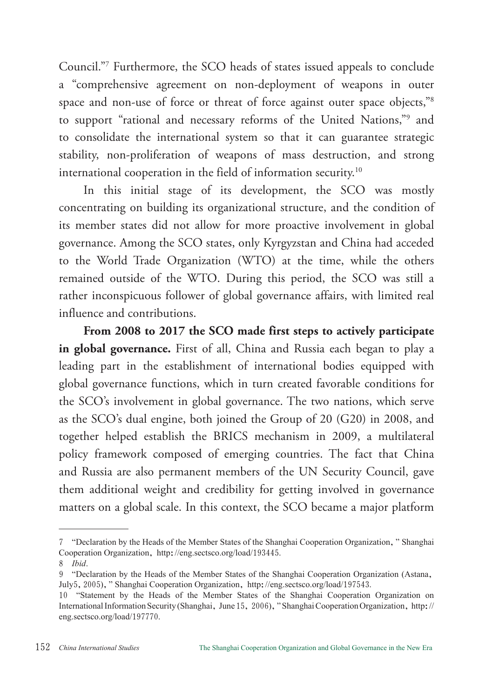Council."7 Furthermore, the SCO heads of states issued appeals to conclude a "comprehensive agreement on non-deployment of weapons in outer space and non-use of force or threat of force against outer space objects,"<sup>8</sup> to support "rational and necessary reforms of the United Nations,"9 and to consolidate the international system so that it can guarantee strategic stability, non-proliferation of weapons of mass destruction, and strong international cooperation in the field of information security.10

In this initial stage of its development, the SCO was mostly concentrating on building its organizational structure, and the condition of its member states did not allow for more proactive involvement in global governance. Among the SCO states, only Kyrgyzstan and China had acceded to the World Trade Organization (WTO) at the time, while the others remained outside of the WTO. During this period, the SCO was still a rather inconspicuous follower of global governance affairs, with limited real influence and contributions.

**From 2008 to 2017 the SCO made first steps to actively participate in global governance.** First of all, China and Russia each began to play a leading part in the establishment of international bodies equipped with global governance functions, which in turn created favorable conditions for the SCO's involvement in global governance. The two nations, which serve as the SCO's dual engine, both joined the Group of 20 (G20) in 2008, and together helped establish the BRICS mechanism in 2009, a multilateral policy framework composed of emerging countries. The fact that China and Russia are also permanent members of the UN Security Council, gave them additional weight and credibility for getting involved in governance matters on a global scale. In this context, the SCO became a major platform

<sup>7</sup> "Declaration by the Heads of the Member States of the Shanghai Cooperation Organization," Shanghai Cooperation Organization, http://eng.sectsco.org/load/193445.

<sup>8</sup> *Ibid*.

<sup>9</sup> "Declaration by the Heads of the Member States of the Shanghai Cooperation Organization (Astana, July5,2005)," Shanghai Cooperation Organization, http://eng.sectsco.org/load/197543.

<sup>10</sup> "Statement by the Heads of the Member States of the Shanghai Cooperation Organization on International Information Security (Shanghai, June 15, 2006)," Shanghai Cooperation Organization, http:// eng.sectsco.org/load/197770.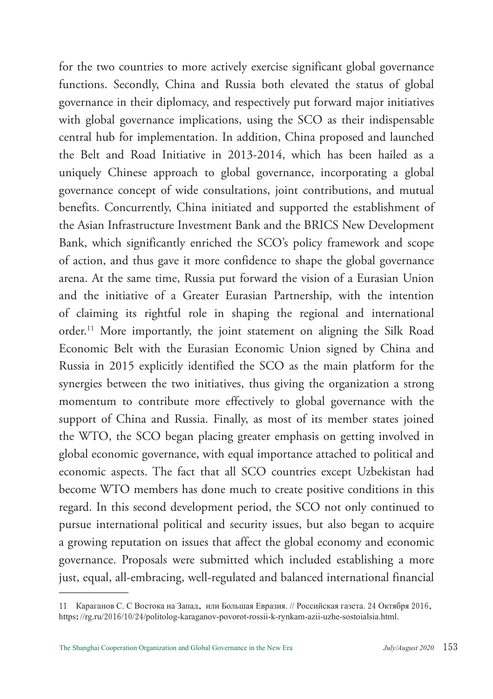for the two countries to more actively exercise significant global governance functions. Secondly, China and Russia both elevated the status of global governance in their diplomacy, and respectively put forward major initiatives with global governance implications, using the SCO as their indispensable central hub for implementation. In addition, China proposed and launched the Belt and Road Initiative in 2013-2014, which has been hailed as a uniquely Chinese approach to global governance, incorporating a global governance concept of wide consultations, joint contributions, and mutual benefits. Concurrently, China initiated and supported the establishment of the Asian Infrastructure Investment Bank and the BRICS New Development Bank, which significantly enriched the SCO's policy framework and scope of action, and thus gave it more confidence to shape the global governance arena. At the same time, Russia put forward the vision of a Eurasian Union and the initiative of a Greater Eurasian Partnership, with the intention of claiming its rightful role in shaping the regional and international order.<sup>11</sup> More importantly, the joint statement on aligning the Silk Road Economic Belt with the Eurasian Economic Union signed by China and Russia in 2015 explicitly identified the SCO as the main platform for the synergies between the two initiatives, thus giving the organization a strong momentum to contribute more effectively to global governance with the support of China and Russia. Finally, as most of its member states joined the WTO, the SCO began placing greater emphasis on getting involved in global economic governance, with equal importance attached to political and economic aspects. The fact that all SCO countries except Uzbekistan had become WTO members has done much to create positive conditions in this regard. In this second development period, the SCO not only continued to pursue international political and security issues, but also began to acquire a growing reputation on issues that affect the global economy and economic governance. Proposals were submitted which included establishing a more just, equal, all-embracing, well-regulated and balanced international financial

<sup>11</sup> Караганов С. С Востока на Запад, или Большая Евразия. // Российская газета. 24 Октября 2016, https://rg.ru/2016/10/24/politolog-karaganov-povorot-rossii-k-rynkam-azii-uzhe-sostoialsia.html.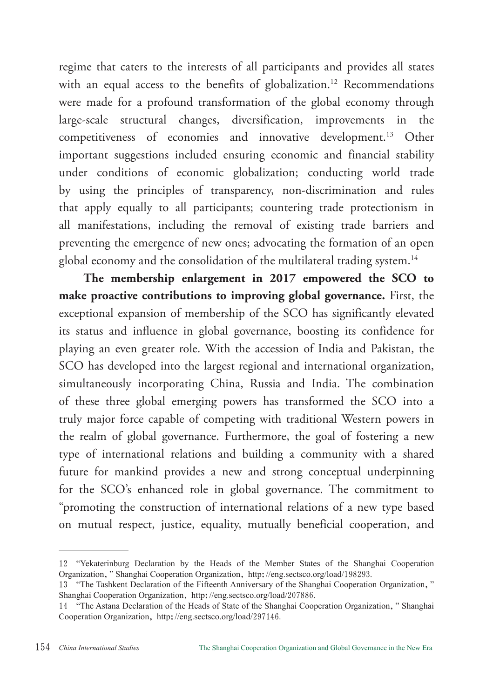regime that caters to the interests of all participants and provides all states with an equal access to the benefits of globalization.<sup>12</sup> Recommendations were made for a profound transformation of the global economy through large-scale structural changes, diversification, improvements in the competitiveness of economies and innovative development.13 Other important suggestions included ensuring economic and financial stability under conditions of economic globalization; conducting world trade by using the principles of transparency, non-discrimination and rules that apply equally to all participants; countering trade protectionism in all manifestations, including the removal of existing trade barriers and preventing the emergence of new ones; advocating the formation of an open global economy and the consolidation of the multilateral trading system.<sup>14</sup>

**The membership enlargement in 2017 empowered the SCO to make proactive contributions to improving global governance.** First, the exceptional expansion of membership of the SCO has significantly elevated its status and influence in global governance, boosting its confidence for playing an even greater role. With the accession of India and Pakistan, the SCO has developed into the largest regional and international organization, simultaneously incorporating China, Russia and India. The combination of these three global emerging powers has transformed the SCO into a truly major force capable of competing with traditional Western powers in the realm of global governance. Furthermore, the goal of fostering a new type of international relations and building a community with a shared future for mankind provides a new and strong conceptual underpinning for the SCO's enhanced role in global governance. The commitment to "promoting the construction of international relations of a new type based on mutual respect, justice, equality, mutually beneficial cooperation, and

<sup>12</sup> "Yekaterinburg Declaration by the Heads of the Member States of the Shanghai Cooperation Organization," Shanghai Cooperation Organization, http://eng.sectsco.org/load/198293.

<sup>13</sup> "The Tashkent Declaration of the Fifteenth Anniversary of the Shanghai Cooperation Organization," Shanghai Cooperation Organization, http://eng.sectsco.org/load/207886.

<sup>14</sup> "The Astana Declaration of the Heads of State of the Shanghai Cooperation Organization," Shanghai Cooperation Organization, http://eng.sectsco.org/load/297146.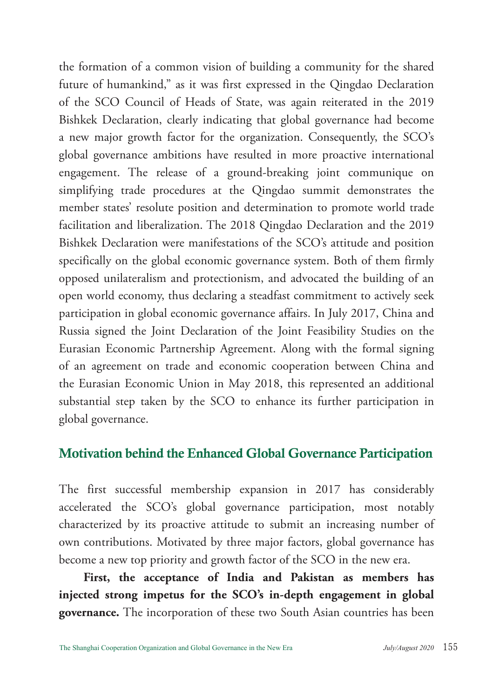the formation of a common vision of building a community for the shared future of humankind," as it was first expressed in the Qingdao Declaration of the SCO Council of Heads of State, was again reiterated in the 2019 Bishkek Declaration, clearly indicating that global governance had become a new major growth factor for the organization. Consequently, the SCO's global governance ambitions have resulted in more proactive international engagement. The release of a ground-breaking joint communique on simplifying trade procedures at the Qingdao summit demonstrates the member states' resolute position and determination to promote world trade facilitation and liberalization. The 2018 Qingdao Declaration and the 2019 Bishkek Declaration were manifestations of the SCO's attitude and position specifically on the global economic governance system. Both of them firmly opposed unilateralism and protectionism, and advocated the building of an open world economy, thus declaring a steadfast commitment to actively seek participation in global economic governance affairs. In July 2017, China and Russia signed the Joint Declaration of the Joint Feasibility Studies on the Eurasian Economic Partnership Agreement. Along with the formal signing of an agreement on trade and economic cooperation between China and the Eurasian Economic Union in May 2018, this represented an additional substantial step taken by the SCO to enhance its further participation in global governance.

## Motivation behind the Enhanced Global Governance Participation

The first successful membership expansion in 2017 has considerably accelerated the SCO's global governance participation, most notably characterized by its proactive attitude to submit an increasing number of own contributions. Motivated by three major factors, global governance has become a new top priority and growth factor of the SCO in the new era.

**First, the acceptance of India and Pakistan as members has injected strong impetus for the SCO's in-depth engagement in global governance.** The incorporation of these two South Asian countries has been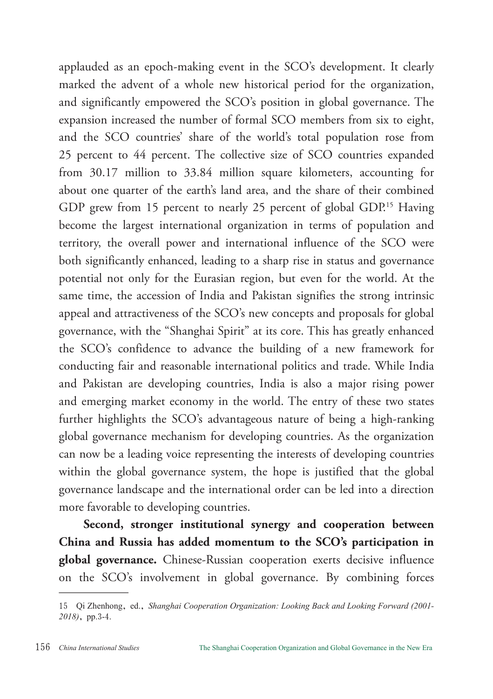applauded as an epoch-making event in the SCO's development. It clearly marked the advent of a whole new historical period for the organization, and significantly empowered the SCO's position in global governance. The expansion increased the number of formal SCO members from six to eight, and the SCO countries' share of the world's total population rose from 25 percent to 44 percent. The collective size of SCO countries expanded from 30.17 million to 33.84 million square kilometers, accounting for about one quarter of the earth's land area, and the share of their combined GDP grew from 15 percent to nearly 25 percent of global GDP.<sup>15</sup> Having become the largest international organization in terms of population and territory, the overall power and international influence of the SCO were both significantly enhanced, leading to a sharp rise in status and governance potential not only for the Eurasian region, but even for the world. At the same time, the accession of India and Pakistan signifies the strong intrinsic appeal and attractiveness of the SCO's new concepts and proposals for global governance, with the "Shanghai Spirit" at its core. This has greatly enhanced the SCO's confidence to advance the building of a new framework for conducting fair and reasonable international politics and trade. While India and Pakistan are developing countries, India is also a major rising power and emerging market economy in the world. The entry of these two states further highlights the SCO's advantageous nature of being a high-ranking global governance mechanism for developing countries. As the organization can now be a leading voice representing the interests of developing countries within the global governance system, the hope is justified that the global governance landscape and the international order can be led into a direction more favorable to developing countries.

**Second, stronger institutional synergy and cooperation between China and Russia has added momentum to the SCO's participation in global governance.** Chinese-Russian cooperation exerts decisive influence on the SCO's involvement in global governance. By combining forces

<sup>15</sup> Qi Zhenhong, ed., *Shanghai Cooperation Organization: Looking Back and Looking Forward (2001- 2018)*, pp.3-4.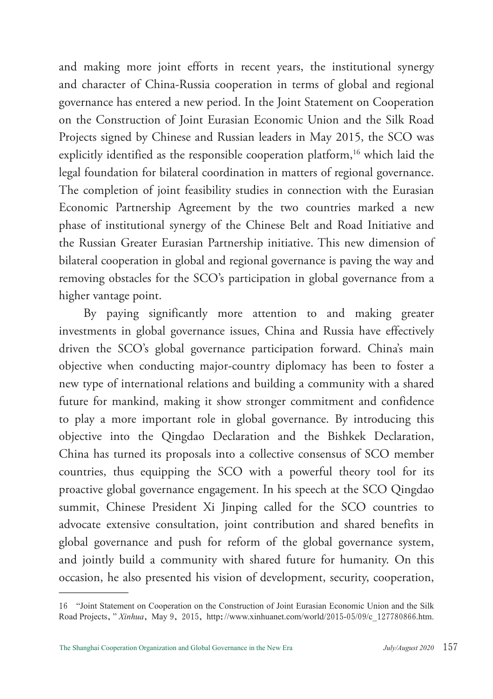and making more joint efforts in recent years, the institutional synergy and character of China-Russia cooperation in terms of global and regional governance has entered a new period. In the Joint Statement on Cooperation on the Construction of Joint Eurasian Economic Union and the Silk Road Projects signed by Chinese and Russian leaders in May 2015, the SCO was explicitly identified as the responsible cooperation platform,<sup>16</sup> which laid the legal foundation for bilateral coordination in matters of regional governance. The completion of joint feasibility studies in connection with the Eurasian Economic Partnership Agreement by the two countries marked a new phase of institutional synergy of the Chinese Belt and Road Initiative and the Russian Greater Eurasian Partnership initiative. This new dimension of bilateral cooperation in global and regional governance is paving the way and removing obstacles for the SCO's participation in global governance from a higher vantage point.

By paying significantly more attention to and making greater investments in global governance issues, China and Russia have effectively driven the SCO's global governance participation forward. China's main objective when conducting major-country diplomacy has been to foster a new type of international relations and building a community with a shared future for mankind, making it show stronger commitment and confidence to play a more important role in global governance. By introducing this objective into the Qingdao Declaration and the Bishkek Declaration, China has turned its proposals into a collective consensus of SCO member countries, thus equipping the SCO with a powerful theory tool for its proactive global governance engagement. In his speech at the SCO Qingdao summit, Chinese President Xi Jinping called for the SCO countries to advocate extensive consultation, joint contribution and shared benefits in global governance and push for reform of the global governance system, and jointly build a community with shared future for humanity. On this occasion, he also presented his vision of development, security, cooperation,

<sup>16</sup> "Joint Statement on Cooperation on the Construction of Joint Eurasian Economic Union and the Silk Road Projects," *Xinhua*, May 9, 2015, http://www.xinhuanet.com/world/2015-05/09/c\_127780866.htm.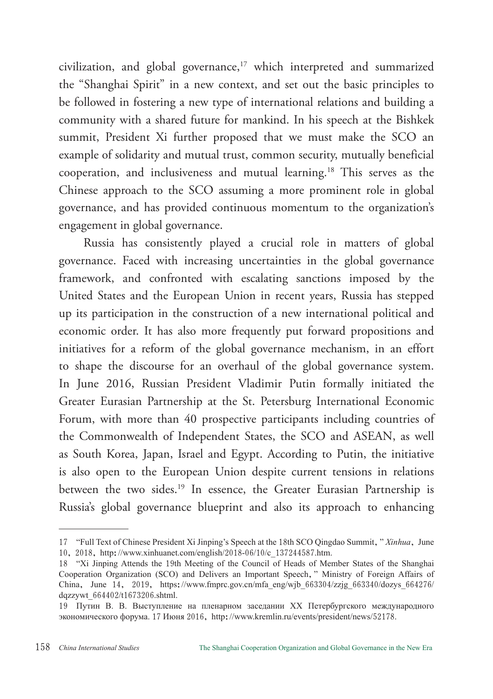civilization, and global governance,<sup>17</sup> which interpreted and summarized the "Shanghai Spirit" in a new context, and set out the basic principles to be followed in fostering a new type of international relations and building a community with a shared future for mankind. In his speech at the Bishkek summit, President Xi further proposed that we must make the SCO an example of solidarity and mutual trust, common security, mutually beneficial cooperation, and inclusiveness and mutual learning.18 This serves as the Chinese approach to the SCO assuming a more prominent role in global governance, and has provided continuous momentum to the organization's engagement in global governance.

Russia has consistently played a crucial role in matters of global governance. Faced with increasing uncertainties in the global governance framework, and confronted with escalating sanctions imposed by the United States and the European Union in recent years, Russia has stepped up its participation in the construction of a new international political and economic order. It has also more frequently put forward propositions and initiatives for a reform of the global governance mechanism, in an effort to shape the discourse for an overhaul of the global governance system. In June 2016, Russian President Vladimir Putin formally initiated the Greater Eurasian Partnership at the St. Petersburg International Economic Forum, with more than 40 prospective participants including countries of the Commonwealth of Independent States, the SCO and ASEAN, as well as South Korea, Japan, Israel and Egypt. According to Putin, the initiative is also open to the European Union despite current tensions in relations between the two sides.<sup>19</sup> In essence, the Greater Eurasian Partnership is Russia's global governance blueprint and also its approach to enhancing

<sup>17</sup> "Full Text of Chinese President Xi Jinping's Speech at the 18th SCO Qingdao Summit," *Xinhua*, June 10, 2018, http://www.xinhuanet.com/english/2018-06/10/c\_137244587.htm.

<sup>18</sup> "Xi Jinping Attends the 19th Meeting of the Council of Heads of Member States of the Shanghai Cooperation Organization (SCO) and Delivers an Important Speech," Ministry of Foreign Affairs of China, June 14, 2019, https://www.fmprc.gov.cn/mfa\_eng/wjb\_663304/zzjg\_663340/dozys\_664276/ dqzzywt\_664402/t1673206.shtml.

<sup>19</sup> Путин В. В. Выступление на пленарном заседании XX Петербургского международного экономического форума. 17 Июня 2016, http://www.kremlin.ru/events/president/news/52178.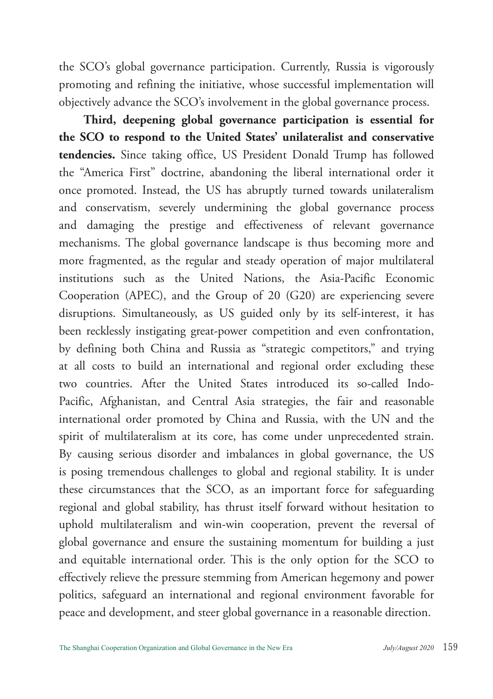the SCO's global governance participation. Currently, Russia is vigorously promoting and refining the initiative, whose successful implementation will objectively advance the SCO's involvement in the global governance process.

**Third, deepening global governance participation is essential for the SCO to respond to the United States' unilateralist and conservative tendencies.** Since taking office, US President Donald Trump has followed the "America First" doctrine, abandoning the liberal international order it once promoted. Instead, the US has abruptly turned towards unilateralism and conservatism, severely undermining the global governance process and damaging the prestige and effectiveness of relevant governance mechanisms. The global governance landscape is thus becoming more and more fragmented, as the regular and steady operation of major multilateral institutions such as the United Nations, the Asia-Pacific Economic Cooperation (APEC), and the Group of 20 (G20) are experiencing severe disruptions. Simultaneously, as US guided only by its self-interest, it has been recklessly instigating great-power competition and even confrontation, by defining both China and Russia as "strategic competitors," and trying at all costs to build an international and regional order excluding these two countries. After the United States introduced its so-called Indo-Pacific, Afghanistan, and Central Asia strategies, the fair and reasonable international order promoted by China and Russia, with the UN and the spirit of multilateralism at its core, has come under unprecedented strain. By causing serious disorder and imbalances in global governance, the US is posing tremendous challenges to global and regional stability. It is under these circumstances that the SCO, as an important force for safeguarding regional and global stability, has thrust itself forward without hesitation to uphold multilateralism and win-win cooperation, prevent the reversal of global governance and ensure the sustaining momentum for building a just and equitable international order. This is the only option for the SCO to effectively relieve the pressure stemming from American hegemony and power politics, safeguard an international and regional environment favorable for peace and development, and steer global governance in a reasonable direction.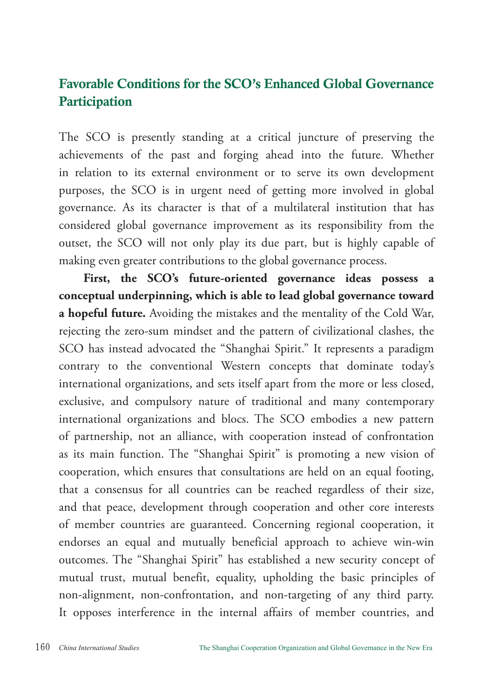# Favorable Conditions for the SCO's Enhanced Global Governance **Participation**

The SCO is presently standing at a critical juncture of preserving the achievements of the past and forging ahead into the future. Whether in relation to its external environment or to serve its own development purposes, the SCO is in urgent need of getting more involved in global governance. As its character is that of a multilateral institution that has considered global governance improvement as its responsibility from the outset, the SCO will not only play its due part, but is highly capable of making even greater contributions to the global governance process.

**First, the SCO's future-oriented governance ideas possess a conceptual underpinning, which is able to lead global governance toward a hopeful future.** Avoiding the mistakes and the mentality of the Cold War, rejecting the zero-sum mindset and the pattern of civilizational clashes, the SCO has instead advocated the "Shanghai Spirit." It represents a paradigm contrary to the conventional Western concepts that dominate today's international organizations, and sets itself apart from the more or less closed, exclusive, and compulsory nature of traditional and many contemporary international organizations and blocs. The SCO embodies a new pattern of partnership, not an alliance, with cooperation instead of confrontation as its main function. The "Shanghai Spirit" is promoting a new vision of cooperation, which ensures that consultations are held on an equal footing, that a consensus for all countries can be reached regardless of their size, and that peace, development through cooperation and other core interests of member countries are guaranteed. Concerning regional cooperation, it endorses an equal and mutually beneficial approach to achieve win-win outcomes. The "Shanghai Spirit" has established a new security concept of mutual trust, mutual benefit, equality, upholding the basic principles of non-alignment, non-confrontation, and non-targeting of any third party. It opposes interference in the internal affairs of member countries, and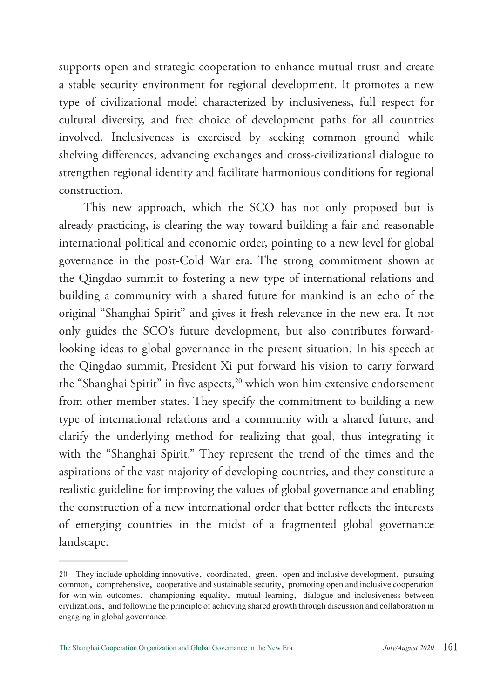supports open and strategic cooperation to enhance mutual trust and create a stable security environment for regional development. It promotes a new type of civilizational model characterized by inclusiveness, full respect for cultural diversity, and free choice of development paths for all countries involved. Inclusiveness is exercised by seeking common ground while shelving differences, advancing exchanges and cross-civilizational dialogue to strengthen regional identity and facilitate harmonious conditions for regional construction.

This new approach, which the SCO has not only proposed but is already practicing, is clearing the way toward building a fair and reasonable international political and economic order, pointing to a new level for global governance in the post-Cold War era. The strong commitment shown at the Qingdao summit to fostering a new type of international relations and building a community with a shared future for mankind is an echo of the original "Shanghai Spirit" and gives it fresh relevance in the new era. It not only guides the SCO's future development, but also contributes forwardlooking ideas to global governance in the present situation. In his speech at the Qingdao summit, President Xi put forward his vision to carry forward the "Shanghai Spirit" in five aspects,<sup>20</sup> which won him extensive endorsement from other member states. They specify the commitment to building a new type of international relations and a community with a shared future, and clarify the underlying method for realizing that goal, thus integrating it with the "Shanghai Spirit." They represent the trend of the times and the aspirations of the vast majority of developing countries, and they constitute a realistic guideline for improving the values of global governance and enabling the construction of a new international order that better reflects the interests of emerging countries in the midst of a fragmented global governance landscape.

<sup>20</sup> They include upholding innovative, coordinated, green, open and inclusive development, pursuing common, comprehensive, cooperative and sustainable security, promoting open and inclusive cooperation for win-win outcomes, championing equality, mutual learning, dialogue and inclusiveness between civilizations, and following the principle of achieving shared growth through discussion and collaboration in engaging in global governance.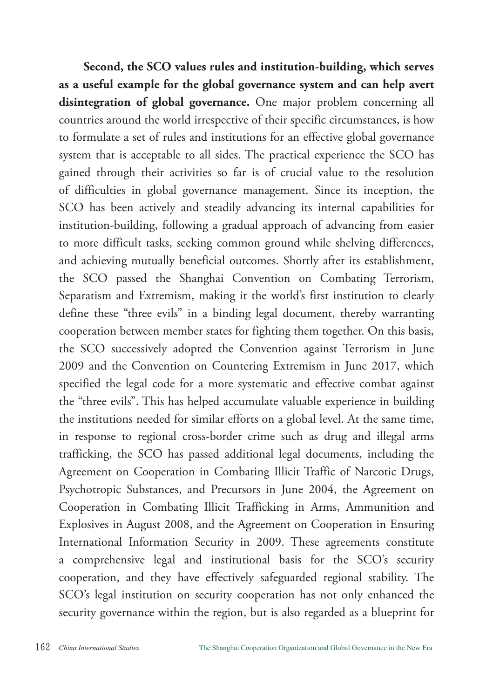**Second, the SCO values rules and institution-building, which serves as a useful example for the global governance system and can help avert disintegration of global governance.** One major problem concerning all countries around the world irrespective of their specific circumstances, is how to formulate a set of rules and institutions for an effective global governance system that is acceptable to all sides. The practical experience the SCO has gained through their activities so far is of crucial value to the resolution of difficulties in global governance management. Since its inception, the SCO has been actively and steadily advancing its internal capabilities for institution-building, following a gradual approach of advancing from easier to more difficult tasks, seeking common ground while shelving differences, and achieving mutually beneficial outcomes. Shortly after its establishment, the SCO passed the Shanghai Convention on Combating Terrorism, Separatism and Extremism, making it the world's first institution to clearly define these "three evils" in a binding legal document, thereby warranting cooperation between member states for fighting them together. On this basis, the SCO successively adopted the Convention against Terrorism in June 2009 and the Convention on Countering Extremism in June 2017, which specified the legal code for a more systematic and effective combat against the "three evils". This has helped accumulate valuable experience in building the institutions needed for similar efforts on a global level. At the same time, in response to regional cross-border crime such as drug and illegal arms trafficking, the SCO has passed additional legal documents, including the Agreement on Cooperation in Combating Illicit Traffic of Narcotic Drugs, Psychotropic Substances, and Precursors in June 2004, the Agreement on Cooperation in Combating Illicit Trafficking in Arms, Ammunition and Explosives in August 2008, and the Agreement on Cooperation in Ensuring International Information Security in 2009. These agreements constitute a comprehensive legal and institutional basis for the SCO's security cooperation, and they have effectively safeguarded regional stability. The SCO's legal institution on security cooperation has not only enhanced the security governance within the region, but is also regarded as a blueprint for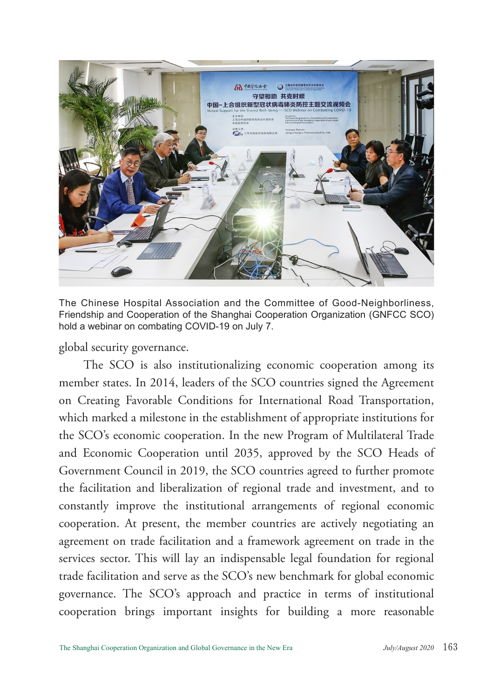

The Chinese Hospital Association and the Committee of Good-Neighborliness, Friendship and Cooperation of the Shanghai Cooperation Organization (GNFCC SCO) hold a webinar on combating COVID-19 on July 7.

global security governance.

The SCO is also institutionalizing economic cooperation among its member states. In 2014, leaders of the SCO countries signed the Agreement on Creating Favorable Conditions for International Road Transportation, which marked a milestone in the establishment of appropriate institutions for the SCO's economic cooperation. In the new Program of Multilateral Trade and Economic Cooperation until 2035, approved by the SCO Heads of Government Council in 2019, the SCO countries agreed to further promote the facilitation and liberalization of regional trade and investment, and to constantly improve the institutional arrangements of regional economic cooperation. At present, the member countries are actively negotiating an agreement on trade facilitation and a framework agreement on trade in the services sector. This will lay an indispensable legal foundation for regional trade facilitation and serve as the SCO's new benchmark for global economic governance. The SCO's approach and practice in terms of institutional cooperation brings important insights for building a more reasonable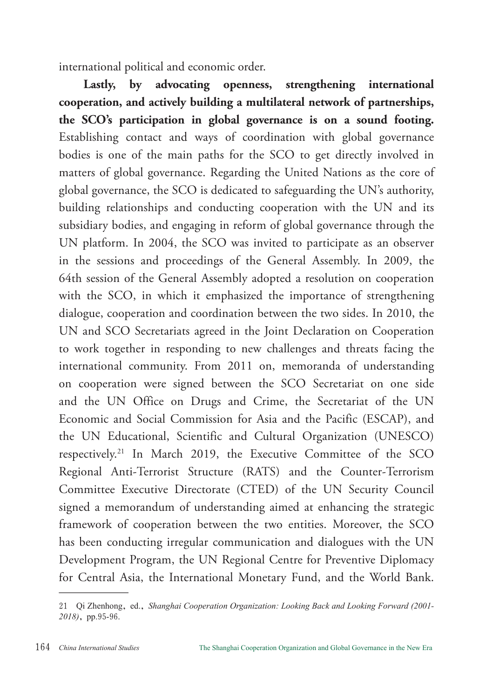international political and economic order.

**Lastly, by advocating openness, strengthening international cooperation, and actively building a multilateral network of partnerships, the SCO's participation in global governance is on a sound footing.** Establishing contact and ways of coordination with global governance bodies is one of the main paths for the SCO to get directly involved in matters of global governance. Regarding the United Nations as the core of global governance, the SCO is dedicated to safeguarding the UN's authority, building relationships and conducting cooperation with the UN and its subsidiary bodies, and engaging in reform of global governance through the UN platform. In 2004, the SCO was invited to participate as an observer in the sessions and proceedings of the General Assembly. In 2009, the 64th session of the General Assembly adopted a resolution on cooperation with the SCO, in which it emphasized the importance of strengthening dialogue, cooperation and coordination between the two sides. In 2010, the UN and SCO Secretariats agreed in the Joint Declaration on Cooperation to work together in responding to new challenges and threats facing the international community. From 2011 on, memoranda of understanding on cooperation were signed between the SCO Secretariat on one side and the UN Office on Drugs and Crime, the Secretariat of the UN Economic and Social Commission for Asia and the Pacific (ESCAP), and the UN Educational, Scientific and Cultural Organization (UNESCO) respectively.21 In March 2019, the Executive Committee of the SCO Regional Anti-Terrorist Structure (RATS) and the Counter-Terrorism Committee Executive Directorate (CTED) of the UN Security Council signed a memorandum of understanding aimed at enhancing the strategic framework of cooperation between the two entities. Moreover, the SCO has been conducting irregular communication and dialogues with the UN Development Program, the UN Regional Centre for Preventive Diplomacy for Central Asia, the International Monetary Fund, and the World Bank.

<sup>21</sup> Qi Zhenhong, ed., *Shanghai Cooperation Organization: Looking Back and Looking Forward (2001- 2018)*, pp.95-96.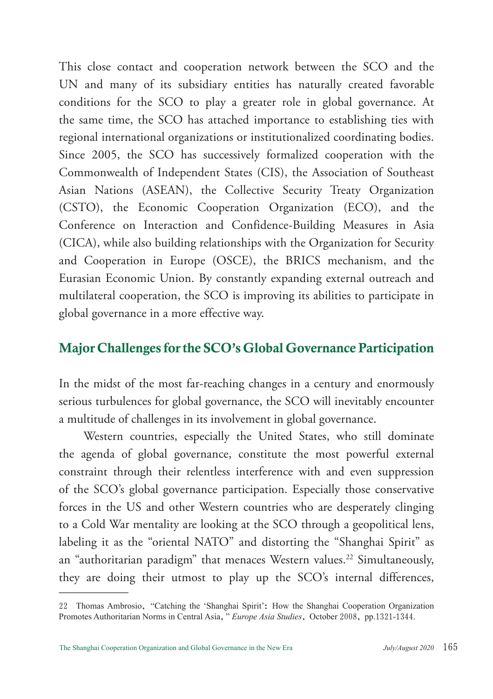This close contact and cooperation network between the SCO and the UN and many of its subsidiary entities has naturally created favorable conditions for the SCO to play a greater role in global governance. At the same time, the SCO has attached importance to establishing ties with regional international organizations or institutionalized coordinating bodies. Since 2005, the SCO has successively formalized cooperation with the Commonwealth of Independent States (CIS), the Association of Southeast Asian Nations (ASEAN), the Collective Security Treaty Organization (CSTO), the Economic Cooperation Organization (ECO), and the Conference on Interaction and Confidence-Building Measures in Asia (CICA), while also building relationships with the Organization for Security and Cooperation in Europe (OSCE), the BRICS mechanism, and the Eurasian Economic Union. By constantly expanding external outreach and multilateral cooperation, the SCO is improving its abilities to participate in global governance in a more effective way.

#### Major Challenges for the SCO's Global Governance Participation

In the midst of the most far-reaching changes in a century and enormously serious turbulences for global governance, the SCO will inevitably encounter a multitude of challenges in its involvement in global governance.

Western countries, especially the United States, who still dominate the agenda of global governance, constitute the most powerful external constraint through their relentless interference with and even suppression of the SCO's global governance participation. Especially those conservative forces in the US and other Western countries who are desperately clinging to a Cold War mentality are looking at the SCO through a geopolitical lens, labeling it as the "oriental NATO" and distorting the "Shanghai Spirit" as an "authoritarian paradigm" that menaces Western values.<sup>22</sup> Simultaneously, they are doing their utmost to play up the SCO's internal differences,

<sup>22</sup> Thomas Ambrosio, "Catching the 'Shanghai Spirit': How the Shanghai Cooperation Organization Promotes Authoritarian Norms in Central Asia," *Europe Asia Studies*, October 2008, pp.1321-1344.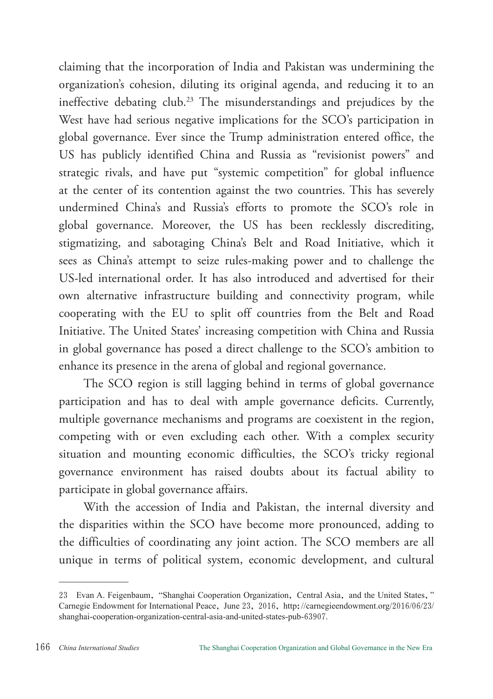claiming that the incorporation of India and Pakistan was undermining the organization's cohesion, diluting its original agenda, and reducing it to an ineffective debating club.23 The misunderstandings and prejudices by the West have had serious negative implications for the SCO's participation in global governance. Ever since the Trump administration entered office, the US has publicly identified China and Russia as "revisionist powers" and strategic rivals, and have put "systemic competition" for global influence at the center of its contention against the two countries. This has severely undermined China's and Russia's efforts to promote the SCO's role in global governance. Moreover, the US has been recklessly discrediting, stigmatizing, and sabotaging China's Belt and Road Initiative, which it sees as China's attempt to seize rules-making power and to challenge the US-led international order. It has also introduced and advertised for their own alternative infrastructure building and connectivity program, while cooperating with the EU to split off countries from the Belt and Road Initiative. The United States' increasing competition with China and Russia in global governance has posed a direct challenge to the SCO's ambition to enhance its presence in the arena of global and regional governance.

The SCO region is still lagging behind in terms of global governance participation and has to deal with ample governance deficits. Currently, multiple governance mechanisms and programs are coexistent in the region, competing with or even excluding each other. With a complex security situation and mounting economic difficulties, the SCO's tricky regional governance environment has raised doubts about its factual ability to participate in global governance affairs.

With the accession of India and Pakistan, the internal diversity and the disparities within the SCO have become more pronounced, adding to the difficulties of coordinating any joint action. The SCO members are all unique in terms of political system, economic development, and cultural

<sup>23</sup> Evan A. Feigenbaum, "Shanghai Cooperation Organization, Central Asia, and the United States," Carnegie Endowment for International Peace, June 23, 2016, http://carnegieendowment.org/2016/06/23/ shanghai-cooperation-organization-central-asia-and-united-states-pub-63907.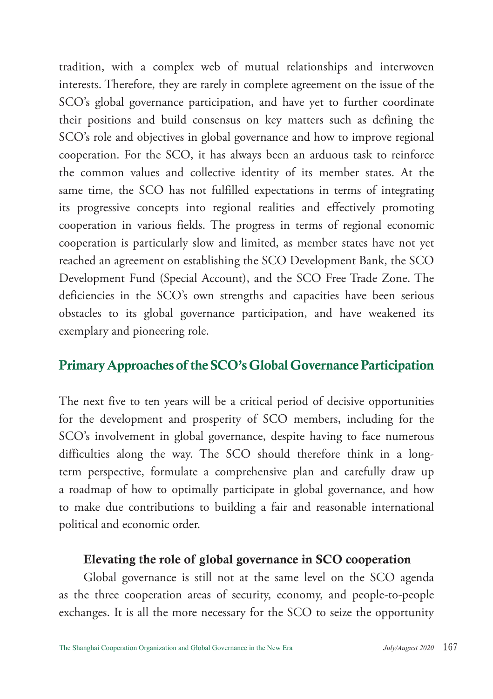tradition, with a complex web of mutual relationships and interwoven interests. Therefore, they are rarely in complete agreement on the issue of the SCO's global governance participation, and have yet to further coordinate their positions and build consensus on key matters such as defining the SCO's role and objectives in global governance and how to improve regional cooperation. For the SCO, it has always been an arduous task to reinforce the common values and collective identity of its member states. At the same time, the SCO has not fulfilled expectations in terms of integrating its progressive concepts into regional realities and effectively promoting cooperation in various fields. The progress in terms of regional economic cooperation is particularly slow and limited, as member states have not yet reached an agreement on establishing the SCO Development Bank, the SCO Development Fund (Special Account), and the SCO Free Trade Zone. The deficiencies in the SCO's own strengths and capacities have been serious obstacles to its global governance participation, and have weakened its exemplary and pioneering role.

## Primary Approaches of the SCO's Global Governance Participation

The next five to ten years will be a critical period of decisive opportunities for the development and prosperity of SCO members, including for the SCO's involvement in global governance, despite having to face numerous difficulties along the way. The SCO should therefore think in a longterm perspective, formulate a comprehensive plan and carefully draw up a roadmap of how to optimally participate in global governance, and how to make due contributions to building a fair and reasonable international political and economic order.

#### Elevating the role of global governance in SCO cooperation

Global governance is still not at the same level on the SCO agenda as the three cooperation areas of security, economy, and people-to-people exchanges. It is all the more necessary for the SCO to seize the opportunity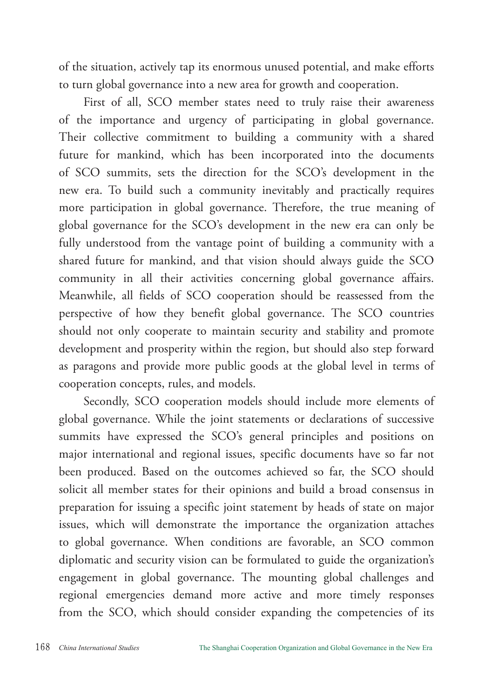of the situation, actively tap its enormous unused potential, and make efforts to turn global governance into a new area for growth and cooperation.

First of all, SCO member states need to truly raise their awareness of the importance and urgency of participating in global governance. Their collective commitment to building a community with a shared future for mankind, which has been incorporated into the documents of SCO summits, sets the direction for the SCO's development in the new era. To build such a community inevitably and practically requires more participation in global governance. Therefore, the true meaning of global governance for the SCO's development in the new era can only be fully understood from the vantage point of building a community with a shared future for mankind, and that vision should always guide the SCO community in all their activities concerning global governance affairs. Meanwhile, all fields of SCO cooperation should be reassessed from the perspective of how they benefit global governance. The SCO countries should not only cooperate to maintain security and stability and promote development and prosperity within the region, but should also step forward as paragons and provide more public goods at the global level in terms of cooperation concepts, rules, and models.

Secondly, SCO cooperation models should include more elements of global governance. While the joint statements or declarations of successive summits have expressed the SCO's general principles and positions on major international and regional issues, specific documents have so far not been produced. Based on the outcomes achieved so far, the SCO should solicit all member states for their opinions and build a broad consensus in preparation for issuing a specific joint statement by heads of state on major issues, which will demonstrate the importance the organization attaches to global governance. When conditions are favorable, an SCO common diplomatic and security vision can be formulated to guide the organization's engagement in global governance. The mounting global challenges and regional emergencies demand more active and more timely responses from the SCO, which should consider expanding the competencies of its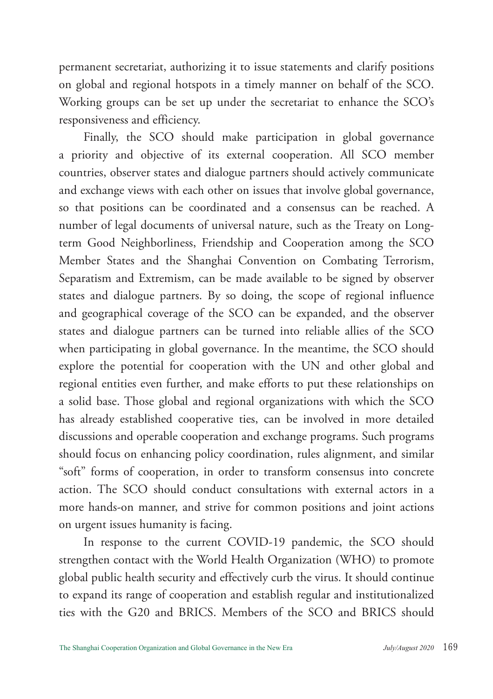permanent secretariat, authorizing it to issue statements and clarify positions on global and regional hotspots in a timely manner on behalf of the SCO. Working groups can be set up under the secretariat to enhance the SCO's responsiveness and efficiency.

Finally, the SCO should make participation in global governance a priority and objective of its external cooperation. All SCO member countries, observer states and dialogue partners should actively communicate and exchange views with each other on issues that involve global governance, so that positions can be coordinated and a consensus can be reached. A number of legal documents of universal nature, such as the Treaty on Longterm Good Neighborliness, Friendship and Cooperation among the SCO Member States and the Shanghai Convention on Combating Terrorism, Separatism and Extremism, can be made available to be signed by observer states and dialogue partners. By so doing, the scope of regional influence and geographical coverage of the SCO can be expanded, and the observer states and dialogue partners can be turned into reliable allies of the SCO when participating in global governance. In the meantime, the SCO should explore the potential for cooperation with the UN and other global and regional entities even further, and make efforts to put these relationships on a solid base. Those global and regional organizations with which the SCO has already established cooperative ties, can be involved in more detailed discussions and operable cooperation and exchange programs. Such programs should focus on enhancing policy coordination, rules alignment, and similar "soft" forms of cooperation, in order to transform consensus into concrete action. The SCO should conduct consultations with external actors in a more hands-on manner, and strive for common positions and joint actions on urgent issues humanity is facing.

In response to the current COVID-19 pandemic, the SCO should strengthen contact with the World Health Organization (WHO) to promote global public health security and effectively curb the virus. It should continue to expand its range of cooperation and establish regular and institutionalized ties with the G20 and BRICS. Members of the SCO and BRICS should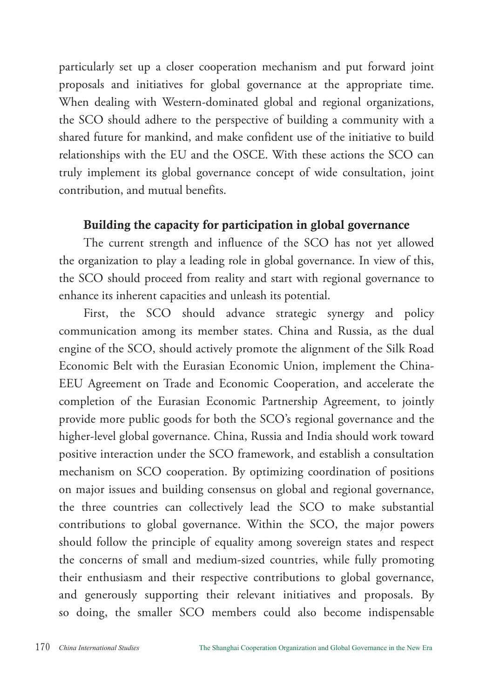particularly set up a closer cooperation mechanism and put forward joint proposals and initiatives for global governance at the appropriate time. When dealing with Western-dominated global and regional organizations, the SCO should adhere to the perspective of building a community with a shared future for mankind, and make confident use of the initiative to build relationships with the EU and the OSCE. With these actions the SCO can truly implement its global governance concept of wide consultation, joint contribution, and mutual benefits.

## Building the capacity for participation in global governance

The current strength and influence of the SCO has not yet allowed the organization to play a leading role in global governance. In view of this, the SCO should proceed from reality and start with regional governance to enhance its inherent capacities and unleash its potential.

First, the SCO should advance strategic synergy and policy communication among its member states. China and Russia, as the dual engine of the SCO, should actively promote the alignment of the Silk Road Economic Belt with the Eurasian Economic Union, implement the China-EEU Agreement on Trade and Economic Cooperation, and accelerate the completion of the Eurasian Economic Partnership Agreement, to jointly provide more public goods for both the SCO's regional governance and the higher-level global governance. China, Russia and India should work toward positive interaction under the SCO framework, and establish a consultation mechanism on SCO cooperation. By optimizing coordination of positions on major issues and building consensus on global and regional governance, the three countries can collectively lead the SCO to make substantial contributions to global governance. Within the SCO, the major powers should follow the principle of equality among sovereign states and respect the concerns of small and medium-sized countries, while fully promoting their enthusiasm and their respective contributions to global governance, and generously supporting their relevant initiatives and proposals. By so doing, the smaller SCO members could also become indispensable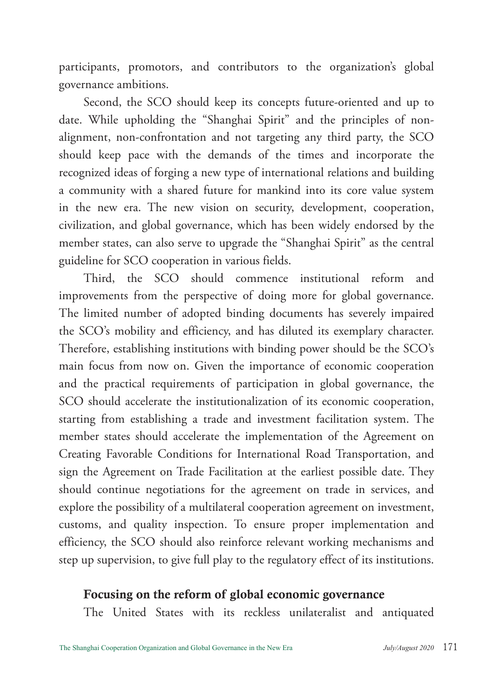participants, promotors, and contributors to the organization's global governance ambitions.

Second, the SCO should keep its concepts future-oriented and up to date. While upholding the "Shanghai Spirit" and the principles of nonalignment, non-confrontation and not targeting any third party, the SCO should keep pace with the demands of the times and incorporate the recognized ideas of forging a new type of international relations and building a community with a shared future for mankind into its core value system in the new era. The new vision on security, development, cooperation, civilization, and global governance, which has been widely endorsed by the member states, can also serve to upgrade the "Shanghai Spirit" as the central guideline for SCO cooperation in various fields.

Third, the SCO should commence institutional reform and improvements from the perspective of doing more for global governance. The limited number of adopted binding documents has severely impaired the SCO's mobility and efficiency, and has diluted its exemplary character. Therefore, establishing institutions with binding power should be the SCO's main focus from now on. Given the importance of economic cooperation and the practical requirements of participation in global governance, the SCO should accelerate the institutionalization of its economic cooperation, starting from establishing a trade and investment facilitation system. The member states should accelerate the implementation of the Agreement on Creating Favorable Conditions for International Road Transportation, and sign the Agreement on Trade Facilitation at the earliest possible date. They should continue negotiations for the agreement on trade in services, and explore the possibility of a multilateral cooperation agreement on investment, customs, and quality inspection. To ensure proper implementation and efficiency, the SCO should also reinforce relevant working mechanisms and step up supervision, to give full play to the regulatory effect of its institutions.

#### Focusing on the reform of global economic governance

The United States with its reckless unilateralist and antiquated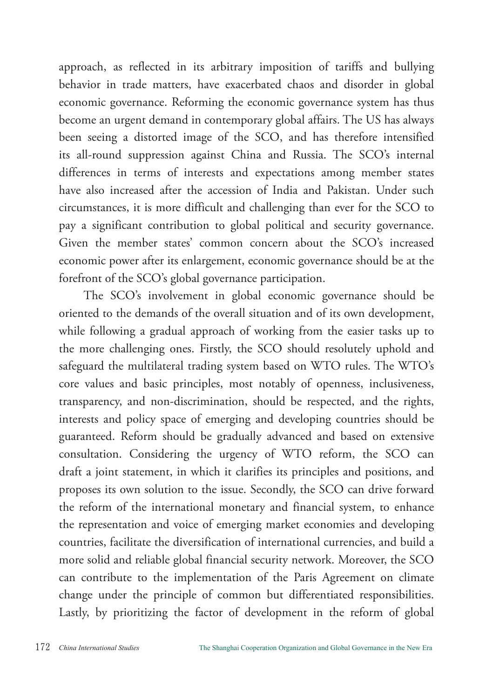approach, as reflected in its arbitrary imposition of tariffs and bullying behavior in trade matters, have exacerbated chaos and disorder in global economic governance. Reforming the economic governance system has thus become an urgent demand in contemporary global affairs. The US has always been seeing a distorted image of the SCO, and has therefore intensified its all-round suppression against China and Russia. The SCO's internal differences in terms of interests and expectations among member states have also increased after the accession of India and Pakistan. Under such circumstances, it is more difficult and challenging than ever for the SCO to pay a significant contribution to global political and security governance. Given the member states' common concern about the SCO's increased economic power after its enlargement, economic governance should be at the forefront of the SCO's global governance participation.

The SCO's involvement in global economic governance should be oriented to the demands of the overall situation and of its own development, while following a gradual approach of working from the easier tasks up to the more challenging ones. Firstly, the SCO should resolutely uphold and safeguard the multilateral trading system based on WTO rules. The WTO's core values and basic principles, most notably of openness, inclusiveness, transparency, and non-discrimination, should be respected, and the rights, interests and policy space of emerging and developing countries should be guaranteed. Reform should be gradually advanced and based on extensive consultation. Considering the urgency of WTO reform, the SCO can draft a joint statement, in which it clarifies its principles and positions, and proposes its own solution to the issue. Secondly, the SCO can drive forward the reform of the international monetary and financial system, to enhance the representation and voice of emerging market economies and developing countries, facilitate the diversification of international currencies, and build a more solid and reliable global financial security network. Moreover, the SCO can contribute to the implementation of the Paris Agreement on climate change under the principle of common but differentiated responsibilities. Lastly, by prioritizing the factor of development in the reform of global